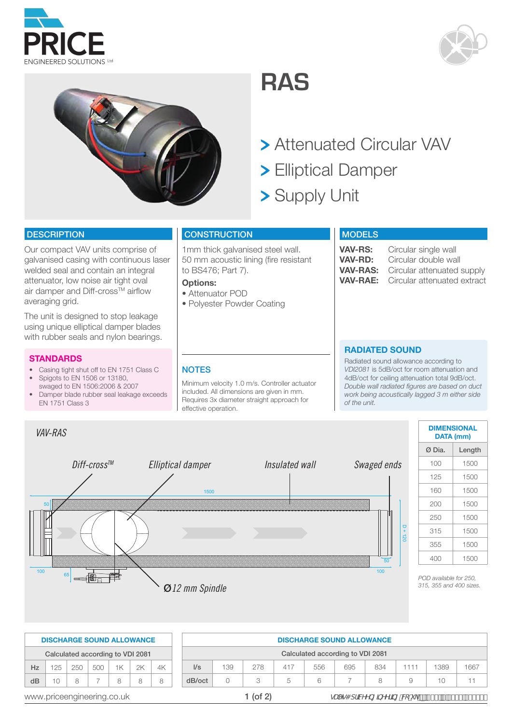





**RAS**

- Attenuated Circular VAV
- Elliptical Damper
- > Supply Unit

## **DESCRIPTION**

galvanised casing with continuous laser welded seal and contain an integral Our compact VAV units comprise of attenuator, low noise air tight oval air damper and Diff-cross™ airflow averaging grid.

using unique elliptical damper blades 65 with rubber seals and nylon bearings. The unit is designed to stop leakage

## **STANDARDS**

- Casing tight shut off to EN 1751 Class C
- Spigots to EN 1506 or 13180, swaged to EN 1506:2006 & 2007
- Damper blade rubber seal leakage exceeds EN 1751 Class 3

## **CONSTRUCTION**

1mm thick galvanised steel wall. 50 mm acoustic lining (fire resistant to BS476; Part 7).

Minimum velocity 1.0 m/s. Controller actuator included. All dimensions are given in mm. Requires 3x diameter straight approach for

#### **Options:**

**NOTES** 

effective operation.

 $\|$ 

- Attenuator POD
- Polyester Powder Coating

#### **MODELS**

**VAV-RS:** Circular single wall<br>**VAV-RD:** Circular double wa **VAV-RD:** Circular double wall **VAV-RAS:** Circular attenuated supply<br>**VAV-RAE:** Circular attenuated extract Circular attenuated extract

#### **RADIATED SOUND**

Radiated sound allowance according to *VDI2081* is 5dB/oct for room attenuation and 4dB/oct for ceiling attenuation total 9dB/oct. *Double wall radiated figures are based on duct work being acoustically lagged 3 m either side of the unit.*



| 355                    | 1500 |
|------------------------|------|
| 400                    | 1500 |
| POD available for 250, |      |

**DATA (mm)** 

|                                           | <b>DISCHARGE SOUND ALLOWANCE</b> |   |            |              |     |     |        | <b>DISCHARGE SOUND ALLOWANCE</b> |               |      |     |      |   |                                                     |        |  |  |
|-------------------------------------------|----------------------------------|---|------------|--------------|-----|-----|--------|----------------------------------|---------------|------|-----|------|---|-----------------------------------------------------|--------|--|--|
|                                           | Calculated according to VDI 2081 |   |            |              |     |     |        | Calculated according to VDI 2081 |               |      |     |      |   |                                                     |        |  |  |
| 2K<br>1K<br>250<br>500<br>4K<br>125<br>Hz |                                  |   | $\sqrt{s}$ | 139          | 278 | 417 | 556    | 695                              | 834           | 1111 | 389 | 1667 |   |                                                     |        |  |  |
| dB                                        |                                  | R |            | $\mathsf{R}$ |     | 8   | dB/oct |                                  |               | 5    | 6   |      | 8 |                                                     | $10 -$ |  |  |
|                                           | www.priceengineering.co.uk       |   |            |              |     |     |        |                                  | $\mid$ (of 2) |      |     |      |   | gUYg4 df]MYYb[]bYYf]b["VŁ"i_"p'Ž(('f\$Ł%'(',')-\$\$ |        |  |  |